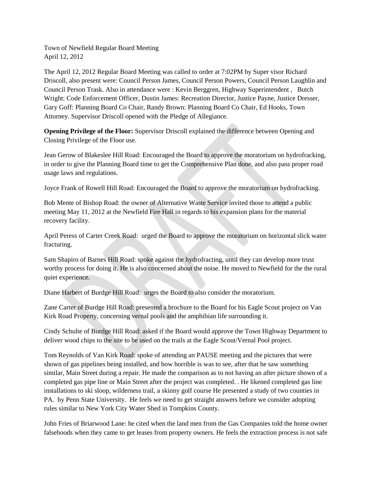Town of Newfield Regular Board Meeting April 12, 2012

The April 12, 2012 Regular Board Meeting was called to order at 7:02PM by Super visor Richard Driscoll, also present were: Council Person James, Council Person Powers, Council Person Laughlin and Council Person Trask. Also in attendance were : Kevin Berggren, Highway Superintendent , Butch Wright: Code Enforcement Officer, Dustin James: Recreation Director, Justice Payne, Justice Dresser, Gary Goff: Planning Board Co Chair, Randy Brown: Planning Board Co Chair, Ed Hooks, Town Attorney. Supervisor Driscoll opened with the Pledge of Allegiance.

**Opening Privilege of the Floor:** Supervisor Driscoll explained the difference between Opening and Closing Privilege of the Floor use.

Jean Gerow of Blakeslee Hill Road: Encouraged the Board to approve the moratorium on hydrofracking, in order to give the Planning Board time to get the Comprehensive Plan done, and also pass proper road usage laws and regulations.

Joyce Frank of Rowell Hill Road: Encouraged the Board to approve the moratorium on hydrofracking.

Bob Mente of Bishop Road: the owner of Alternative Waste Service invited those to attend a public meeting May 11, 2012 at the Newfield Fire Hall in regards to his expansion plans for the material recovery facility.

April Peress of Carter Creek Road: urged the Board to approve the moratorium on horizontal slick water fracturing.

Sam Shapiro of Barnes Hill Road: spoke against the hydrofracting, until they can develop more trust worthy process for doing it. He is also concerned about the noise. He moved to Newfield for the the rural quiet experience.

Diane Harbert of Burdge Hill Road: urges the Board to also consider the moratorium.

Zane Carter of Burdge Hill Road: presented a brochure to the Board for his Eagle Scout project on Van Kirk Road Property, concerning vernal pools and the amphibian life surrounding it.

Cindy Schulte of Burdge Hill Road: asked if the Board would approve the Town Highway Department to deliver wood chips to the site to be used on the trails at the Eagle Scout/Vernal Pool project.

Tom Reynolds of Van Kirk Road: spoke of attending an PAUSE meeting and the pictures that were shown of gas pipelines being installed, and how horrible is was to see, after that he saw something similar, Main Street during a repair. He made the comparison as to not having an after picture shown of a completed gas pipe line or Main Street after the project was completed. . He likened completed gas line installations to ski sloop, wilderness trail, a skinny golf course He presented a study of two counties in PA. by Penn State University. He feels we need to get straight answers before we consider adopting rules similar to New York City Water Shed in Tompkins County.

John Fries of Briarwood Lane: he cited when the land men from the Gas Companies told the home owner falsehoods when they came to get leases from property owners. He feels the extraction process is not safe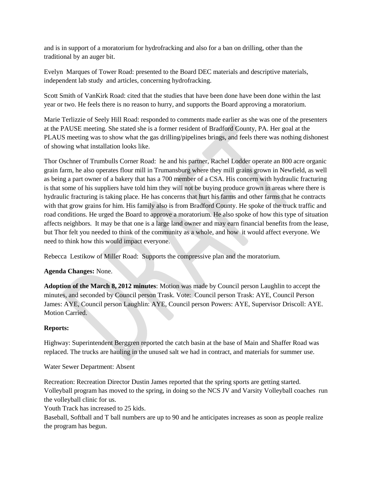and is in support of a moratorium for hydrofracking and also for a ban on drilling, other than the traditional by an auger bit.

Evelyn Marques of Tower Road: presented to the Board DEC materials and descriptive materials, independent lab study and articles, concerning hydrofracking.

Scott Smith of VanKirk Road: cited that the studies that have been done have been done within the last year or two. He feels there is no reason to hurry, and supports the Board approving a moratorium.

Marie Terlizzie of Seely Hill Road: responded to comments made earlier as she was one of the presenters at the PAUSE meeting. She stated she is a former resident of Bradford County, PA. Her goal at the PLAUS meeting was to show what the gas drilling/pipelines brings, and feels there was nothing dishonest of showing what installation looks like.

Thor Oschner of Trumbulls Corner Road: he and his partner, Rachel Lodder operate an 800 acre organic grain farm, he also operates flour mill in Trumansburg where they mill grains grown in Newfield, as well as being a part owner of a bakery that has a 700 member of a CSA. His concern with hydraulic fracturing is that some of his suppliers have told him they will not be buying produce grown in areas where there is hydraulic fracturing is taking place. He has concerns that hurt his farms and other farms that he contracts with that grow grains for him. His family also is from Bradford County. He spoke of the truck traffic and road conditions. He urged the Board to approve a moratorium. He also spoke of how this type of situation affects neighbors. It may be that one is a large land owner and may earn financial benefits from the lease, but Thor felt you needed to think of the community as a whole, and how it would affect everyone. We need to think how this would impact everyone.

Rebecca Lestikow of Miller Road: Supports the compressive plan and the moratorium.

# **Agenda Changes:** None.

**Adoption of the March 8, 2012 minutes**: Motion was made by Council person Laughlin to accept the minutes, and seconded by Council person Trask. Vote: Council person Trask: AYE, Council Person James: AYE, Council person Laughlin: AYE, Council person Powers: AYE, Supervisor Driscoll: AYE. Motion Carried.

# **Reports:**

Highway: Superintendent Berggren reported the catch basin at the base of Main and Shaffer Road was replaced. The trucks are hauling in the unused salt we had in contract, and materials for summer use.

Water Sewer Department: Absent

Recreation: Recreation Director Dustin James reported that the spring sports are getting started. Volleyball program has moved to the spring, in doing so the NCS JV and Varsity Volleyball coaches run the volleyball clinic for us.

Youth Track has increased to 25 kids.

Baseball, Softball and T ball numbers are up to 90 and he anticipates increases as soon as people realize the program has begun.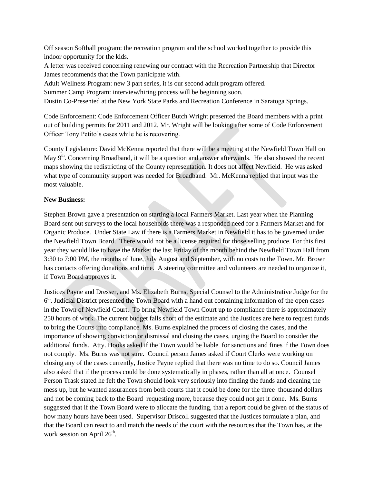Off season Softball program: the recreation program and the school worked together to provide this indoor opportunity for the kids.

A letter was received concerning renewing our contract with the Recreation Partnership that Director James recommends that the Town participate with.

Adult Wellness Program: new 3 part series, it is our second adult program offered.

Summer Camp Program: interview/hiring process will be beginning soon.

Dustin Co-Presented at the New York State Parks and Recreation Conference in Saratoga Springs.

Code Enforcement: Code Enforcement Officer Butch Wright presented the Board members with a print out of building permits for 2011 and 2012. Mr. Wright will be looking after some of Code Enforcement Officer Tony Petito's cases while he is recovering.

County Legislature: David McKenna reported that there will be a meeting at the Newfield Town Hall on May 9<sup>th</sup>. Concerning Broadband, it will be a question and answer afterwards. He also showed the recent maps showing the redistricting of the County representation. It does not affect Newfield. He was asked what type of community support was needed for Broadband. Mr. McKenna replied that input was the most valuable.

## **New Business:**

Stephen Brown gave a presentation on starting a local Farmers Market. Last year when the Planning Board sent out surveys to the local households there was a responded need for a Farmers Market and for Organic Produce. Under State Law if there is a Farmers Market in Newfield it has to be governed under the Newfield Town Board. There would not be a license required for those selling produce. For this first year they would like to have the Market the last Friday of the month behind the Newfield Town Hall from 3:30 to 7:00 PM, the months of June, July August and September, with no costs to the Town. Mr. Brown has contacts offering donations and time. A steering committee and volunteers are needed to organize it, if Town Board approves it.

Justices Payne and Dresser, and Ms. Elizabeth Burns, Special Counsel to the Administrative Judge for the  $6<sup>th</sup>$ . Judicial District presented the Town Board with a hand out containing information of the open cases in the Town of Newfield Court. To bring Newfield Town Court up to compliance there is approximately 250 hours of work. The current budget falls short of the estimate and the Justices are here to request funds to bring the Courts into compliance. Ms. Burns explained the process of closing the cases, and the importance of showing conviction or dismissal and closing the cases, urging the Board to consider the additional funds. Atty. Hooks asked if the Town would be liable for sanctions and fines if the Town does not comply. Ms. Burns was not sure. Council person James asked if Court Clerks were working on closing any of the cases currently, Justice Payne replied that there was no time to do so. Council James also asked that if the process could be done systematically in phases, rather than all at once. Counsel Person Trask stated he felt the Town should look very seriously into finding the funds and cleaning the mess up, but he wanted assurances from both courts that it could be done for the three thousand dollars and not be coming back to the Board requesting more, because they could not get it done. Ms. Burns suggested that if the Town Board were to allocate the funding, that a report could be given of the status of how many hours have been used. Supervisor Driscoll suggested that the Justices formulate a plan, and that the Board can react to and match the needs of the court with the resources that the Town has, at the work session on April 26<sup>th</sup>.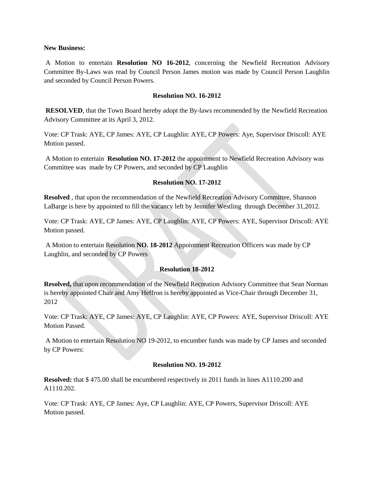#### **New Business:**

A Motion to entertain **Resolution NO 16-2012**, concerning the Newfield Recreation Advisory Committee By-Laws was read by Council Person James motion was made by Council Person Laughlin and seconded by Council Person Powers.

#### **Resolution NO. 16-2012**

**RESOLVED**, that the Town Board hereby adopt the By-laws recommended by the Newfield Recreation Advisory Committee at its April 3, 2012.

Vote: CP Trask: AYE, CP James: AYE, CP Laughlin: AYE, CP Powers: Aye, Supervisor Driscoll: AYE Motion passed.

A Motion to entertain **Resolution NO. 17-2012** the appointment to Newfield Recreation Advisory was Committee was made by CP Powers, and seconded by CP Laughlin

### **Resolution NO. 17-2012**

**Resolved** , that upon the recommendation of the Newfield Recreation Advisory Committee, Shannon LaBarge is here by appointed to fill the vacancy left by Jennifer Westling through December 31,2012.

Vote: CP Trask: AYE, CP James: AYE, CP Laughlin: AYE, CP Powers: AYE, Supervisor Driscoll: AYE Motion passed.

A Motion to entertain Resolution **NO. 18-2012** Appointment Recreation Officers was made by CP Laughlin, and seconded by CP Powers

### **Resolution 18-2012**

**Resolved,** that upon recommendation of the Newfield Recreation Advisory Committee that Sean Norman is hereby appointed Chair and Amy Heffron is hereby appointed as Vice-Chair through December 31, 2012

Vote: CP Trask: AYE, CP James: AYE, CP Laughlin: AYE, CP Powers: AYE, Supervisor Driscoll: AYE Motion Passed.

A Motion to entertain Resolution NO 19-2012, to encumber funds was made by CP James and seconded by CP Powers:

### **Resolution NO. 19-2012**

**Resolved:** that \$ 475.00 shall be encumbered respectively in 2011 funds in lines A1110.200 and A1110.202.

Vote: CP Trask: AYE, CP James: Aye, CP Laughlin: AYE, CP Powers, Supervisor Driscoll: AYE Motion passed.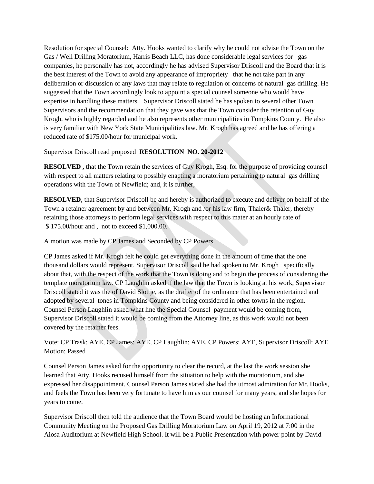Resolution for special Counsel: Atty. Hooks wanted to clarify why he could not advise the Town on the Gas / Well Drilling Moratorium, Harris Beach LLC, has done considerable legal services for gas companies, he personally has not, accordingly he has advised Supervisor Driscoll and the Board that it is the best interest of the Town to avoid any appearance of impropriety that he not take part in any deliberation or discussion of any laws that may relate to regulation or concerns of natural gas drilling. He suggested that the Town accordingly look to appoint a special counsel someone who would have expertise in handling these matters. Supervisor Driscoll stated he has spoken to several other Town Supervisors and the recommendation that they gave was that the Town consider the retention of Guy Krogh, who is highly regarded and he also represents other municipalities in Tompkins County. He also is very familiar with New York State Municipalities law. Mr. Krogh has agreed and he has offering a reduced rate of \$175.00/hour for municipal work.

Supervisor Driscoll read proposed **RESOLUTION NO. 20-2012**

**RESOLVED ,** that the Town retain the services of Guy Krogh, Esq. for the purpose of providing counsel with respect to all matters relating to possibly enacting a moratorium pertaining to natural gas drilling operations with the Town of Newfield; and, it is further,

**RESOLVED,** that Supervisor Driscoll be and hereby is authorized to execute and deliver on behalf of the Town a retainer agreement by and between Mr. Krogh and /or his law firm, Thaler& Thaler, thereby retaining those attorneys to perform legal services with respect to this mater at an hourly rate of \$ 175.00/hour and , not to exceed \$1,000.00.

A motion was made by CP James and Seconded by CP Powers.

CP James asked if Mr. Krogh felt he could get everything done in the amount of time that the one thousand dollars would represent. Supervisor Driscoll said he had spoken to Mr. Krogh specifically about that, with the respect of the work that the Town is doing and to begin the process of considering the template moratorium law. CP Laughlin asked if the law that the Town is looking at his work, Supervisor Driscoll stated it was the of David Slottje, as the drafter of the ordinance that has been entertained and adopted by several tones in Tompkins County and being considered in other towns in the region. Counsel Person Laughlin asked what line the Special Counsel payment would be coming from, Supervisor Driscoll stated it would be coming from the Attorney line, as this work would not been covered by the retainer fees.

Vote: CP Trask: AYE, CP James: AYE, CP Laughlin: AYE, CP Powers: AYE, Supervisor Driscoll: AYE Motion: Passed

Counsel Person James asked for the opportunity to clear the record, at the last the work session she learned that Atty. Hooks recused himself from the situation to help with the moratorium, and she expressed her disappointment. Counsel Person James stated she had the utmost admiration for Mr. Hooks, and feels the Town has been very fortunate to have him as our counsel for many years, and she hopes for years to come.

Supervisor Driscoll then told the audience that the Town Board would be hosting an Informational Community Meeting on the Proposed Gas Drilling Moratorium Law on April 19, 2012 at 7:00 in the Aiosa Auditorium at Newfield High School. It will be a Public Presentation with power point by David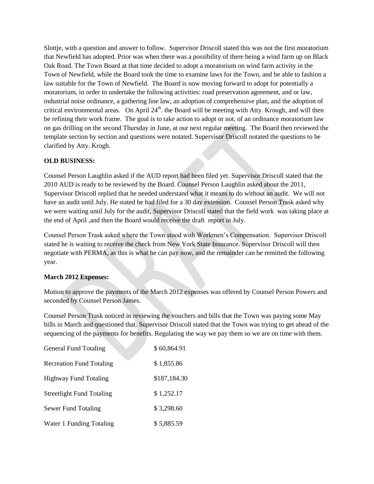Slottje, with a question and answer to follow. Supervisor Driscoll stated this was not the first moratorium that Newfield has adopted. Prior was when there was a possibility of there being a wind farm up on Black Oak Road. The Town Board at that time decided to adopt a moratorium on wind farm activity in the Town of Newfield, while the Board took the time to examine laws for the Town, and be able to fashion a law suitable for the Town of Newfield. The Board is now moving forward to adopt for potentially a moratorium, in order to undertake the following activities: road preservation agreement, and or law, industrial noise ordinance, a gathering line law, an adoption of comprehensive plan, and the adoption of critical environmental areas. On April  $24<sup>th</sup>$ . the Board will be meeting with Atty. Krough, and will then be refining their work frame. The goal is to take action to adopt or not, of an ordinance moratorium law on gas drilling on the second Thursday in June, at our next regular meeting. The Board then reviewed the template section by section and questions were notated. Supervisor Driscoll notated the questions to be clarified by Atty. Krogh.

# **OLD BUSINESS:**

Counsel Person Laughlin asked if the AUD report had been filed yet. Supervisor Driscoll stated that the 2010 AUD is ready to be reviewed by the Board. Counsel Person Laughlin asked about the 2011, Supervisor Driscoll replied that he needed understand what it means to do without an audit. We will not have an audit until July. He stated he had filed for a 30 day extension. Counsel Person Trask asked why we were waiting until July for the audit, Supervisor Driscoll stated that the field work was taking place at the end of April ,and then the Board would receive the draft report in July.

Counsel Person Trask asked where the Town stood with Workmen's Compensation. Supervisor Driscoll stated he is waiting to receive the check from New York State Insurance. Supervisor Driscoll will then negotiate with PERMA, as this is what he can pay now, and the remainder can be remitted the following year.

# **March 2012 Expenses:**

Motion to approve the payments of the March 2012 expenses was offered by Counsel Person Powers and seconded by Counsel Person James.

Counsel Person Trask noticed in reviewing the vouchers and bills that the Town was paying some May bills in March and questioned that. Supervisor Driscoll stated that the Town was trying to get ahead of the sequencing of the payments for benefits. Regulating the way we pay them so we are on time with them.

| <b>General Fund Totaling</b>     | \$60,864.91  |
|----------------------------------|--------------|
| <b>Recreation Fund Totaling</b>  | \$1,855.86   |
| <b>Highway Fund Totaling</b>     | \$187,184.30 |
| <b>Streetlight Fund Totaling</b> | \$1,252.17   |
| Sewer Fund Totaling              | \$3,298.60   |
| Water 1 Funding Totaling         | \$5,885.59   |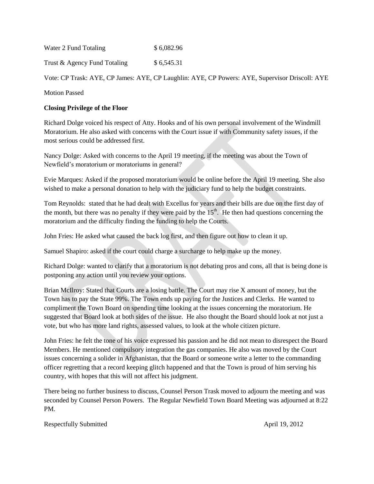| Water 2 Fund Totaling | \$6,082.96 |
|-----------------------|------------|
|                       |            |

Trust & Agency Fund Totaling  $$6,545.31$ 

Vote: CP Trask: AYE, CP James: AYE, CP Laughlin: AYE, CP Powers: AYE, Supervisor Driscoll: AYE

Motion Passed

## **Closing Privilege of the Floor**

Richard Dolge voiced his respect of Atty. Hooks and of his own personal involvement of the Windmill Moratorium. He also asked with concerns with the Court issue if with Community safety issues, if the most serious could be addressed first.

Nancy Dolge: Asked with concerns to the April 19 meeting, if the meeting was about the Town of Newfield's moratorium or moratoriums in general?

Evie Marques: Asked if the proposed moratorium would be online before the April 19 meeting. She also wished to make a personal donation to help with the judiciary fund to help the budget constraints.

Tom Reynolds: stated that he had dealt with Excellus for years and their bills are due on the first day of the month, but there was no penalty if they were paid by the  $15<sup>th</sup>$ . He then had questions concerning the moratorium and the difficulty finding the funding to help the Courts.

John Fries: He asked what caused the back log first, and then figure out how to clean it up.

Samuel Shapiro: asked if the court could charge a surcharge to help make up the money.

Richard Dolge: wanted to clarify that a moratorium is not debating pros and cons, all that is being done is postponing any action until you review your options.

Brian McIlroy: Stated that Courts are a losing battle. The Court may rise X amount of money, but the Town has to pay the State 99%. The Town ends up paying for the Justices and Clerks. He wanted to compliment the Town Board on spending time looking at the issues concerning the moratorium. He suggested that Board look at both sides of the issue. He also thought the Board should look at not just a vote, but who has more land rights, assessed values, to look at the whole citizen picture.

John Fries: he felt the tone of his voice expressed his passion and he did not mean to disrespect the Board Members. He mentioned compulsory integration the gas companies. He also was moved by the Court issues concerning a solider in Afghanistan, that the Board or someone write a letter to the commanding officer regretting that a record keeping glitch happened and that the Town is proud of him serving his country, with hopes that this will not affect his judgment.

There being no further business to discuss, Counsel Person Trask moved to adjourn the meeting and was seconded by Counsel Person Powers. The Regular Newfield Town Board Meeting was adjourned at 8:22 PM.

Respectfully Submitted April 19, 2012